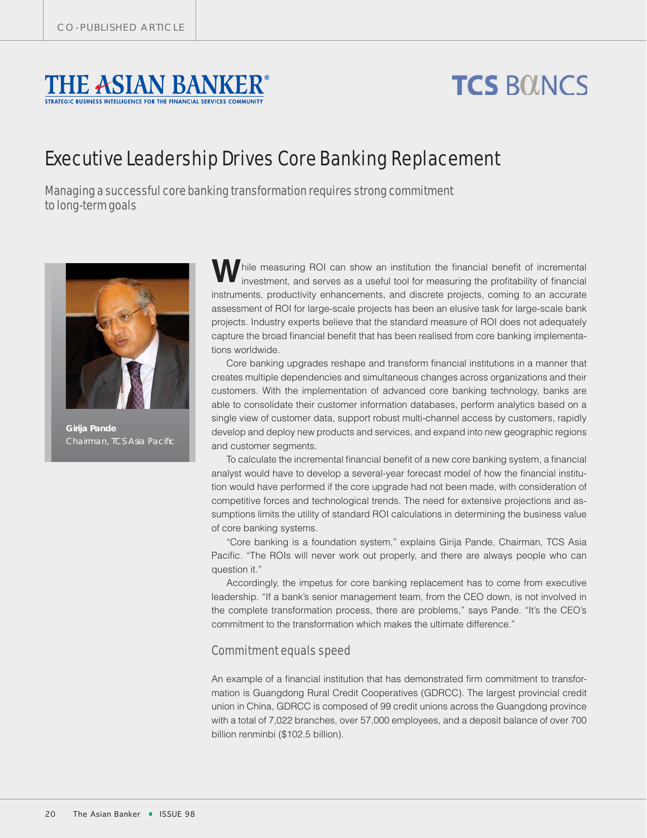

# **TCS BOUNCS**

## Executive Leadership Drives Core Banking Replacement

Managing a successful core banking transformation requires strong commitment to long-term goals



*Girija Pande*

hile measuring ROI can show an institution the financial benefit of incremental investment, and serves as a useful tool for measuring the profitability of financial instruments, productivity enhancements, and discrete projects, coming to an accurate assessment of ROI for large-scale projects has been an elusive task for large-scale bank projects. Industry experts believe that the standard measure of ROI does not adequately capture the broad financial benefit that has been realised from core banking implementations worldwide.

Core banking upgrades reshape and transform financial institutions in a manner that creates multiple dependencies and simultaneous changes across organizations and their customers. With the implementation of advanced core banking technology, banks are able to consolidate their customer information databases, perform analytics based on a single view of customer data, support robust multi-channel access by customers, rapidly develop and deploy new products and services, and expand into new geographic regions and customer segments.

To calculate the incremental financial benefit of a new core banking system, a financial analyst would have to develop a several-year forecast model of how the financial institution would have performed if the core upgrade had not been made, with consideration of competitive forces and technological trends. The need for extensive projections and assumptions limits the utility of standard ROI calculations in determining the business value of core banking systems.

"Core banking is a foundation system," explains Girija Pande, Chairman, TCS Asia Pacific. "The ROIs will never work out properly, and there are always people who can question it."

Accordingly, the impetus for core banking replacement has to come from executive leadership. "If a bank's senior management team, from the CEO down, is not involved in the complete transformation process, there are problems," says Pande. "It's the CEO's commitment to the transformation which makes the ultimate difference."

### Commitment equals speed

An example of a financial institution that has demonstrated firm commitment to transformation is Guangdong Rural Credit Cooperatives (GDRCC). The largest provincial credit union in China, GDRCC is composed of 99 credit unions across the Guangdong province with a total of 7,022 branches, over 57,000 employees, and a deposit balance of over 700 billion renminbi (\$102.5 billion).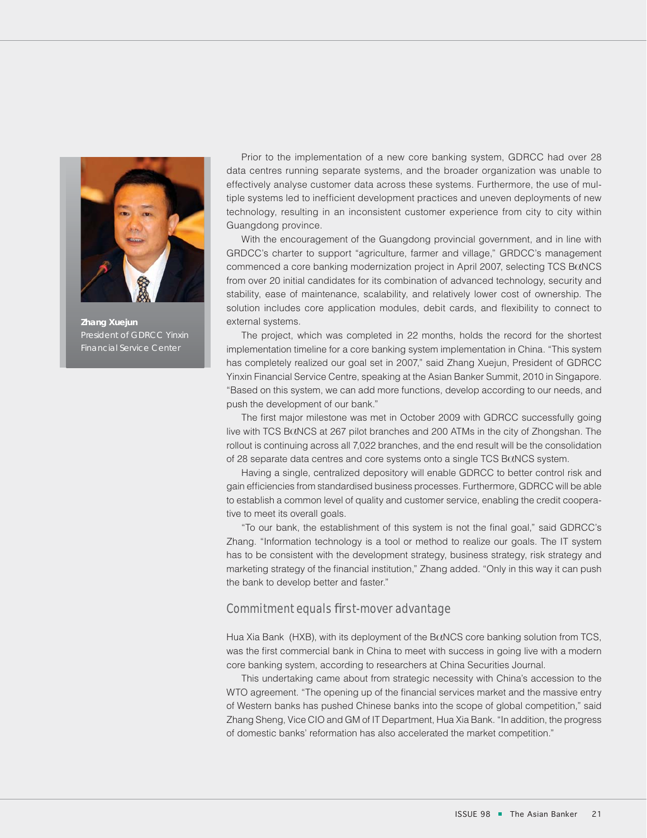

*Zhang Xuejun President of GDRCC Yinxin Financial Service Center*

Prior to the implementation of a new core banking system, GDRCC had over 28 data centres running separate systems, and the broader organization was unable to effectively analyse customer data across these systems. Furthermore, the use of multiple systems led to inefficient development practices and uneven deployments of new technology, resulting in an inconsistent customer experience from city to city within Guangdong province.

With the encouragement of the Guangdong provincial government, and in line with GRDCC's charter to support "agriculture, farmer and village," GRDCC's management commenced a core banking modernization project in April 2007, selecting TCS B $\alpha$ NCS from over 20 initial candidates for its combination of advanced technology, security and stability, ease of maintenance, scalability, and relatively lower cost of ownership. The solution includes core application modules, debit cards, and flexibility to connect to external systems.

The project, which was completed in 22 months, holds the record for the shortest implementation timeline for a core banking system implementation in China. "This system has completely realized our goal set in 2007," said Zhang Xuejun, President of GDRCC Yinxin Financial Service Centre, speaking at the Asian Banker Summit, 2010 in Singapore. "Based on this system, we can add more functions, develop according to our needs, and push the development of our bank."

The first major milestone was met in October 2009 with GDRCC successfully going live with TCS B $\alpha$ NCS at 267 pilot branches and 200 ATMs in the city of Zhongshan. The rollout is continuing across all 7,022 branches, and the end result will be the consolidation of 28 separate data centres and core systems onto a single TCS B $\alpha$ NCS system.

Having a single, centralized depository will enable GDRCC to better control risk and gain efficiencies from standardised business processes. Furthermore, GDRCC will be able to establish a common level of quality and customer service, enabling the credit cooperative to meet its overall goals.

"To our bank, the establishment of this system is not the final goal," said GDRCC's Zhang. "Information technology is a tool or method to realize our goals. The IT system has to be consistent with the development strategy, business strategy, risk strategy and marketing strategy of the financial institution," Zhang added. "Only in this way it can push the bank to develop better and faster."

#### Commitment equals first-mover advantage

Hua Xia Bank  $(HXB)$ , with its deployment of the B $\alpha$ NCS core banking solution from TCS, was the first commercial bank in China to meet with success in going live with a modern core banking system, according to researchers at China Securities Journal.

This undertaking came about from strategic necessity with China's accession to the WTO agreement. "The opening up of the financial services market and the massive entry of Western banks has pushed Chinese banks into the scope of global competition," said Zhang Sheng, Vice CIO and GM of IT Department, Hua Xia Bank. "In addition, the progress of domestic banks' reformation has also accelerated the market competition."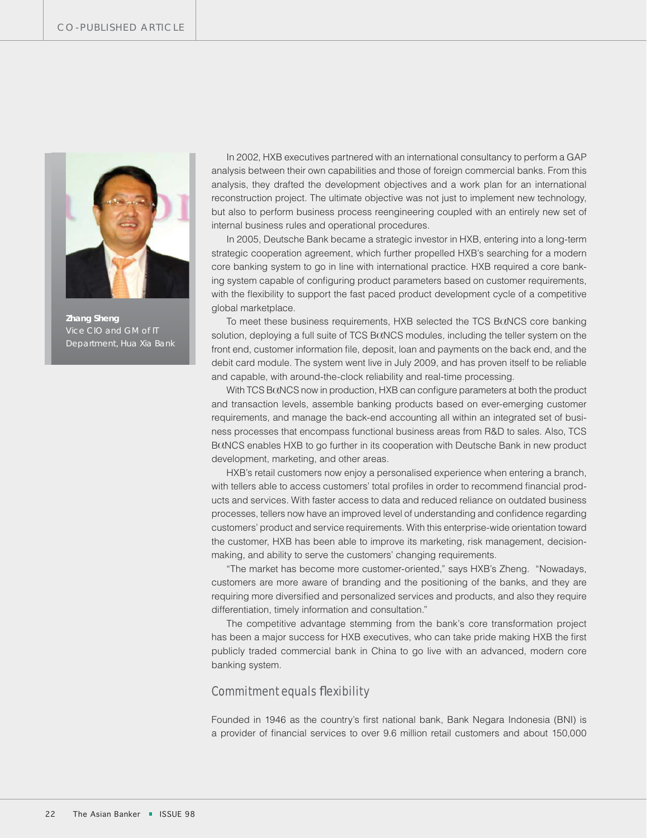

*Zhang Sheng Vice CIO and GM of IT Department, Hua Xia Bank*

In 2002, HXB executives partnered with an international consultancy to perform a GAP analysis between their own capabilities and those of foreign commercial banks. From this analysis, they drafted the development objectives and a work plan for an international reconstruction project. The ultimate objective was not just to implement new technology, but also to perform business process reengineering coupled with an entirely new set of internal business rules and operational procedures.

In 2005, Deutsche Bank became a strategic investor in HXB, entering into a long-term strategic cooperation agreement, which further propelled HXB's searching for a modern core banking system to go in line with international practice. HXB required a core banking system capable of configuring product parameters based on customer requirements, with the flexibility to support the fast paced product development cycle of a competitive global marketplace.

To meet these business requirements,  $HXB$  selected the TCS B $\alpha$ NCS core banking solution, deploying a full suite of TCS B (NCS modules, including the teller system on the front end, customer information file, deposit, loan and payments on the back end, and the debit card module. The system went live in July 2009, and has proven itself to be reliable and capable, with around-the-clock reliability and real-time processing.

With TCS B $\alpha$ NCS now in production, HXB can configure parameters at both the product and transaction levels, assemble banking products based on ever-emerging customer requirements, and manage the back-end accounting all within an integrated set of business processes that encompass functional business areas from R&D to sales. Also, TCS BCINCS enables HXB to go further in its cooperation with Deutsche Bank in new product development, marketing, and other areas.

HXB's retail customers now enjoy a personalised experience when entering a branch, with tellers able to access customers' total profiles in order to recommend financial products and services. With faster access to data and reduced reliance on outdated business processes, tellers now have an improved level of understanding and confidence regarding customers' product and service requirements. With this enterprise-wide orientation toward the customer, HXB has been able to improve its marketing, risk management, decisionmaking, and ability to serve the customers' changing requirements.

"The market has become more customer-oriented," says HXB's Zheng. "Nowadays, customers are more aware of branding and the positioning of the banks, and they are requiring more diversified and personalized services and products, and also they require differentiation, timely information and consultation."

The competitive advantage stemming from the bank's core transformation project has been a major success for HXB executives, who can take pride making HXB the first publicly traded commercial bank in China to go live with an advanced, modern core banking system.

#### **Commitment equals flexibility**

Founded in 1946 as the country's first national bank, Bank Negara Indonesia (BNI) is a provider of financial services to over 9.6 million retail customers and about 150,000